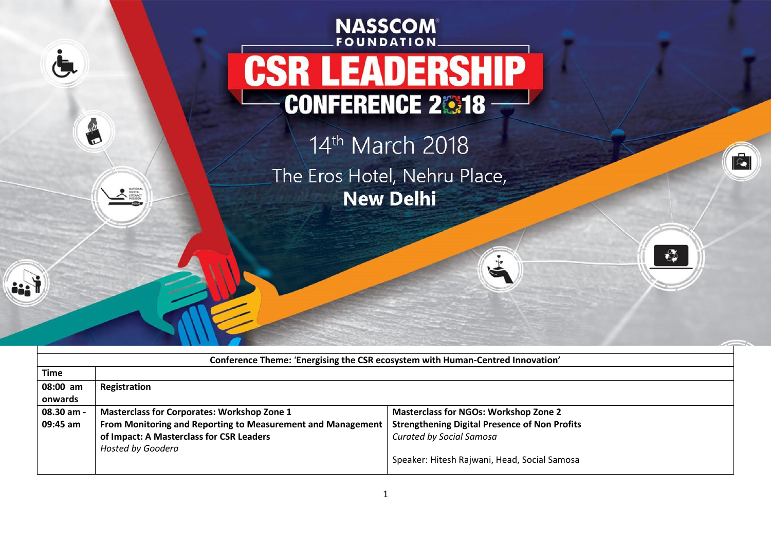## **NASSCOM Foundation CONFERENCE 2018, THE LEADER 14 THE 2019 LEADER 14 THE 2019 LEADER 14 THE 2019 LEADER 14 THE 2019 LEADER 2019 , New Delhi CSR LEADERSHIP CONFERENCE 28318**

 $\dot{a}$ 

i. i

R

**ANTIONAL** 

14th March 2018 The Eros Hotel, Nehru Place, **New Delhi** 

J.

ÉI

 $\mathbf{e}^{\mathcal{D}}_{\mathbf{e}}$ 

| Conference Theme: 'Energising the CSR ecosystem with Human-Centred Innovation' |                                                             |                                                      |  |  |  |  |
|--------------------------------------------------------------------------------|-------------------------------------------------------------|------------------------------------------------------|--|--|--|--|
| <b>Time</b>                                                                    |                                                             |                                                      |  |  |  |  |
| 08:00 am                                                                       | Registration                                                |                                                      |  |  |  |  |
| onwards                                                                        |                                                             |                                                      |  |  |  |  |
| 08.30 am -                                                                     | <b>Masterclass for Corporates: Workshop Zone 1</b>          | <b>Masterclass for NGOs: Workshop Zone 2</b>         |  |  |  |  |
| 09:45 am                                                                       | From Monitoring and Reporting to Measurement and Management | <b>Strengthening Digital Presence of Non Profits</b> |  |  |  |  |
|                                                                                | of Impact: A Masterclass for CSR Leaders                    | <b>Curated by Social Samosa</b>                      |  |  |  |  |
|                                                                                | Hosted by Goodera                                           |                                                      |  |  |  |  |
|                                                                                |                                                             | Speaker: Hitesh Rajwani, Head, Social Samosa         |  |  |  |  |
|                                                                                |                                                             |                                                      |  |  |  |  |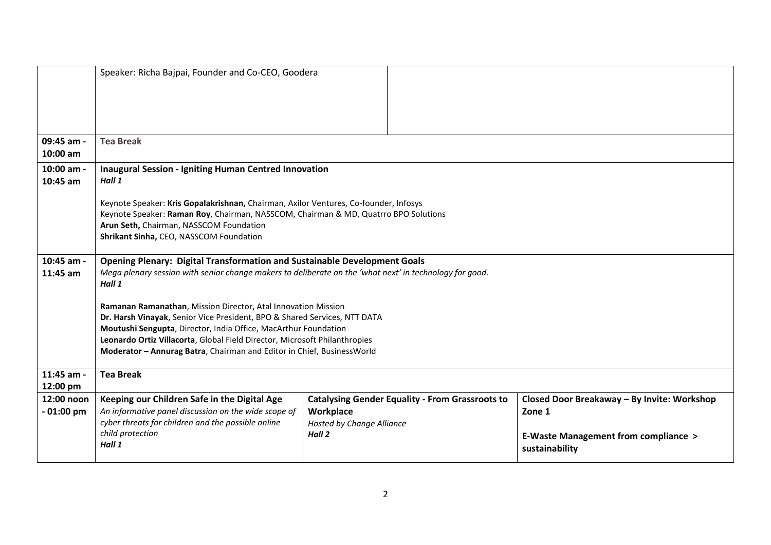|             | Speaker: Richa Bajpai, Founder and Co-CEO, Goodera                                                                                                                          |                                                        |                                                |  |  |  |
|-------------|-----------------------------------------------------------------------------------------------------------------------------------------------------------------------------|--------------------------------------------------------|------------------------------------------------|--|--|--|
|             |                                                                                                                                                                             |                                                        |                                                |  |  |  |
|             |                                                                                                                                                                             |                                                        |                                                |  |  |  |
|             |                                                                                                                                                                             |                                                        |                                                |  |  |  |
|             |                                                                                                                                                                             |                                                        |                                                |  |  |  |
| 09:45 am -  | <b>Tea Break</b>                                                                                                                                                            |                                                        |                                                |  |  |  |
| 10:00 am    |                                                                                                                                                                             |                                                        |                                                |  |  |  |
|             |                                                                                                                                                                             |                                                        |                                                |  |  |  |
| 10:00 am -  | <b>Inaugural Session - Igniting Human Centred Innovation</b>                                                                                                                |                                                        |                                                |  |  |  |
| 10:45 am    | Hall 1                                                                                                                                                                      |                                                        |                                                |  |  |  |
|             |                                                                                                                                                                             |                                                        |                                                |  |  |  |
|             | Keynote Speaker: Kris Gopalakrishnan, Chairman, Axilor Ventures, Co-founder, Infosys<br>Keynote Speaker: Raman Roy, Chairman, NASSCOM, Chairman & MD, Quatrro BPO Solutions |                                                        |                                                |  |  |  |
|             | Arun Seth, Chairman, NASSCOM Foundation                                                                                                                                     |                                                        |                                                |  |  |  |
|             | Shrikant Sinha, CEO, NASSCOM Foundation                                                                                                                                     |                                                        |                                                |  |  |  |
|             |                                                                                                                                                                             |                                                        |                                                |  |  |  |
| 10:45 am -  | <b>Opening Plenary: Digital Transformation and Sustainable Development Goals</b>                                                                                            |                                                        |                                                |  |  |  |
| 11:45 am    | Mega plenary session with senior change makers to deliberate on the 'what next' in technology for good.                                                                     |                                                        |                                                |  |  |  |
|             | Hall 1                                                                                                                                                                      |                                                        |                                                |  |  |  |
|             |                                                                                                                                                                             |                                                        |                                                |  |  |  |
|             | Ramanan Ramanathan, Mission Director, Atal Innovation Mission                                                                                                               |                                                        |                                                |  |  |  |
|             | Dr. Harsh Vinayak, Senior Vice President, BPO & Shared Services, NTT DATA                                                                                                   |                                                        |                                                |  |  |  |
|             | Moutushi Sengupta, Director, India Office, MacArthur Foundation                                                                                                             |                                                        |                                                |  |  |  |
|             | Leonardo Ortiz Villacorta, Global Field Director, Microsoft Philanthropies                                                                                                  |                                                        |                                                |  |  |  |
|             | Moderator - Annurag Batra, Chairman and Editor in Chief, BusinessWorld                                                                                                      |                                                        |                                                |  |  |  |
| 11:45 am -  | <b>Tea Break</b>                                                                                                                                                            |                                                        |                                                |  |  |  |
| 12:00 pm    |                                                                                                                                                                             |                                                        |                                                |  |  |  |
| 12:00 noon  | Keeping our Children Safe in the Digital Age                                                                                                                                | <b>Catalysing Gender Equality - From Grassroots to</b> | Closed Door Breakaway - By Invite: Workshop    |  |  |  |
| $-01:00$ pm | An informative panel discussion on the wide scope of                                                                                                                        | Workplace                                              | Zone 1                                         |  |  |  |
|             | cyber threats for children and the possible online                                                                                                                          | <b>Hosted by Change Alliance</b>                       |                                                |  |  |  |
|             | child protection                                                                                                                                                            | Hall 2                                                 | <b>E-Waste Management from compliance &gt;</b> |  |  |  |
|             | Hall 1                                                                                                                                                                      |                                                        | sustainability                                 |  |  |  |
|             |                                                                                                                                                                             |                                                        |                                                |  |  |  |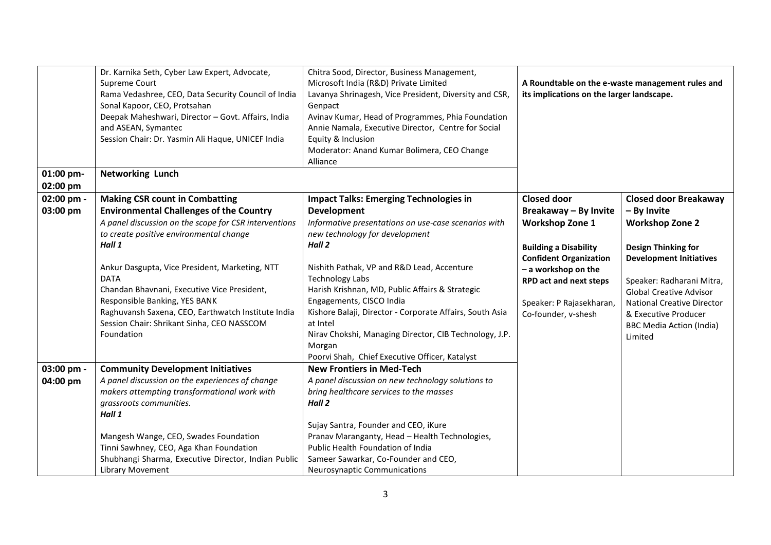| 01:00 pm-<br>02:00 pm | Chitra Sood, Director, Business Management,<br>Dr. Karnika Seth, Cyber Law Expert, Advocate,<br>Microsoft India (R&D) Private Limited<br>Supreme Court<br>Rama Vedashree, CEO, Data Security Council of India<br>Lavanya Shrinagesh, Vice President, Diversity and CSR,<br>Sonal Kapoor, CEO, Protsahan<br>Genpact<br>Deepak Maheshwari, Director - Govt. Affairs, India<br>Avinav Kumar, Head of Programmes, Phia Foundation<br>and ASEAN, Symantec<br>Annie Namala, Executive Director, Centre for Social<br>Session Chair: Dr. Yasmin Ali Haque, UNICEF India<br>Equity & Inclusion<br>Moderator: Anand Kumar Bolimera, CEO Change<br>Alliance<br><b>Networking Lunch</b> |                                                                                                                                                                                                                                                                                                                                                                                                                                                                             | A Roundtable on the e-waste management rules and<br>its implications on the larger landscape.                                                                                                                               |                                                                                                                                                                                                                                                                                 |
|-----------------------|------------------------------------------------------------------------------------------------------------------------------------------------------------------------------------------------------------------------------------------------------------------------------------------------------------------------------------------------------------------------------------------------------------------------------------------------------------------------------------------------------------------------------------------------------------------------------------------------------------------------------------------------------------------------------|-----------------------------------------------------------------------------------------------------------------------------------------------------------------------------------------------------------------------------------------------------------------------------------------------------------------------------------------------------------------------------------------------------------------------------------------------------------------------------|-----------------------------------------------------------------------------------------------------------------------------------------------------------------------------------------------------------------------------|---------------------------------------------------------------------------------------------------------------------------------------------------------------------------------------------------------------------------------------------------------------------------------|
| 02:00 pm -            | <b>Making CSR count in Combatting</b>                                                                                                                                                                                                                                                                                                                                                                                                                                                                                                                                                                                                                                        | <b>Impact Talks: Emerging Technologies in</b>                                                                                                                                                                                                                                                                                                                                                                                                                               | <b>Closed door</b>                                                                                                                                                                                                          | <b>Closed door Breakaway</b>                                                                                                                                                                                                                                                    |
| 03:00 pm              | <b>Environmental Challenges of the Country</b><br>A panel discussion on the scope for CSR interventions<br>to create positive environmental change<br>Hall 1<br>Ankur Dasgupta, Vice President, Marketing, NTT<br><b>DATA</b><br>Chandan Bhavnani, Executive Vice President,<br>Responsible Banking, YES BANK<br>Raghuvansh Saxena, CEO, Earthwatch Institute India<br>Session Chair: Shrikant Sinha, CEO NASSCOM<br>Foundation                                                                                                                                                                                                                                              | <b>Development</b><br>Informative presentations on use-case scenarios with<br>new technology for development<br>Hall 2<br>Nishith Pathak, VP and R&D Lead, Accenture<br><b>Technology Labs</b><br>Harish Krishnan, MD, Public Affairs & Strategic<br>Engagements, CISCO India<br>Kishore Balaji, Director - Corporate Affairs, South Asia<br>at Intel<br>Nirav Chokshi, Managing Director, CIB Technology, J.P.<br>Morgan<br>Poorvi Shah, Chief Executive Officer, Katalyst | Breakaway - By Invite<br><b>Workshop Zone 1</b><br><b>Building a Disability</b><br><b>Confident Organization</b><br>- a workshop on the<br><b>RPD act and next steps</b><br>Speaker: P Rajasekharan,<br>Co-founder, v-shesh | - By Invite<br><b>Workshop Zone 2</b><br><b>Design Thinking for</b><br><b>Development Initiatives</b><br>Speaker: Radharani Mitra,<br><b>Global Creative Advisor</b><br><b>National Creative Director</b><br>& Executive Producer<br><b>BBC Media Action (India)</b><br>Limited |
| 03:00 pm -            | <b>Community Development Initiatives</b>                                                                                                                                                                                                                                                                                                                                                                                                                                                                                                                                                                                                                                     | <b>New Frontiers in Med-Tech</b>                                                                                                                                                                                                                                                                                                                                                                                                                                            |                                                                                                                                                                                                                             |                                                                                                                                                                                                                                                                                 |
| 04:00 pm              | A panel discussion on the experiences of change<br>makers attempting transformational work with<br>grassroots communities.<br>Hall 1                                                                                                                                                                                                                                                                                                                                                                                                                                                                                                                                         | A panel discussion on new technology solutions to<br>bring healthcare services to the masses<br>Hall 2<br>Sujay Santra, Founder and CEO, iKure                                                                                                                                                                                                                                                                                                                              |                                                                                                                                                                                                                             |                                                                                                                                                                                                                                                                                 |
|                       | Mangesh Wange, CEO, Swades Foundation<br>Tinni Sawhney, CEO, Aga Khan Foundation<br>Shubhangi Sharma, Executive Director, Indian Public<br><b>Library Movement</b>                                                                                                                                                                                                                                                                                                                                                                                                                                                                                                           | Pranav Maranganty, Head - Health Technologies,<br>Public Health Foundation of India<br>Sameer Sawarkar, Co-Founder and CEO,<br>Neurosynaptic Communications                                                                                                                                                                                                                                                                                                                 |                                                                                                                                                                                                                             |                                                                                                                                                                                                                                                                                 |